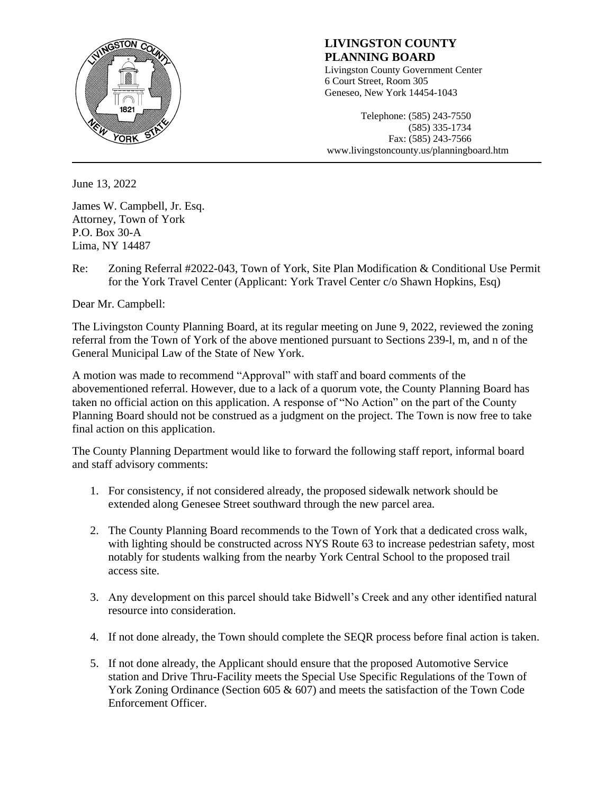

# **LIVINGSTON COUNTY PLANNING BOARD**

Livingston County Government Center 6 Court Street, Room 305 Geneseo, New York 14454-1043

Telephone: (585) 243-7550 (585) 335-1734 Fax: (585) 243-7566 www.livingstoncounty.us/planningboard.htm

June 13, 2022

James W. Campbell, Jr. Esq. Attorney, Town of York P.O. Box 30-A Lima, NY 14487

Re: Zoning Referral #2022-043, Town of York, Site Plan Modification & Conditional Use Permit for the York Travel Center (Applicant: York Travel Center c/o Shawn Hopkins, Esq)

Dear Mr. Campbell:

The Livingston County Planning Board, at its regular meeting on June 9, 2022, reviewed the zoning referral from the Town of York of the above mentioned pursuant to Sections 239-l, m, and n of the General Municipal Law of the State of New York.

A motion was made to recommend "Approval" with staff and board comments of the abovementioned referral. However, due to a lack of a quorum vote, the County Planning Board has taken no official action on this application. A response of "No Action" on the part of the County Planning Board should not be construed as a judgment on the project. The Town is now free to take final action on this application.

The County Planning Department would like to forward the following staff report, informal board and staff advisory comments:

- 1. For consistency*,* if not considered already, the proposed sidewalk network should be extended along Genesee Street southward through the new parcel area.
- 2. The County Planning Board recommends to the Town of York that a dedicated cross walk, with lighting should be constructed across NYS Route 63 to increase pedestrian safety, most notably for students walking from the nearby York Central School to the proposed trail access site.
- 3. Any development on this parcel should take Bidwell's Creek and any other identified natural resource into consideration.
- 4. If not done already, the Town should complete the SEQR process before final action is taken.
- 5. If not done already, the Applicant should ensure that the proposed Automotive Service station and Drive Thru-Facility meets the Special Use Specific Regulations of the Town of York Zoning Ordinance (Section 605 & 607) and meets the satisfaction of the Town Code Enforcement Officer.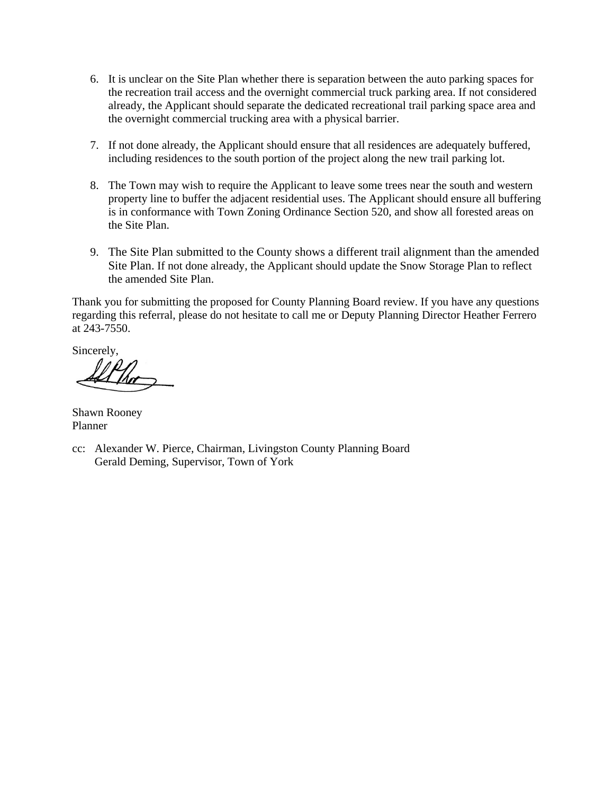- 6. It is unclear on the Site Plan whether there is separation between the auto parking spaces for the recreation trail access and the overnight commercial truck parking area. If not considered already, the Applicant should separate the dedicated recreational trail parking space area and the overnight commercial trucking area with a physical barrier.
- 7. If not done already, the Applicant should ensure that all residences are adequately buffered, including residences to the south portion of the project along the new trail parking lot.
- 8. The Town may wish to require the Applicant to leave some trees near the south and western property line to buffer the adjacent residential uses. The Applicant should ensure all buffering is in conformance with Town Zoning Ordinance Section 520, and show all forested areas on the Site Plan.
- 9. The Site Plan submitted to the County shows a different trail alignment than the amended Site Plan. If not done already, the Applicant should update the Snow Storage Plan to reflect the amended Site Plan.

Thank you for submitting the proposed for County Planning Board review. If you have any questions regarding this referral, please do not hesitate to call me or Deputy Planning Director Heather Ferrero at 243-7550.

Sincerely,

Shawn Rooney Planner

cc: Alexander W. Pierce, Chairman, Livingston County Planning Board Gerald Deming, Supervisor, Town of York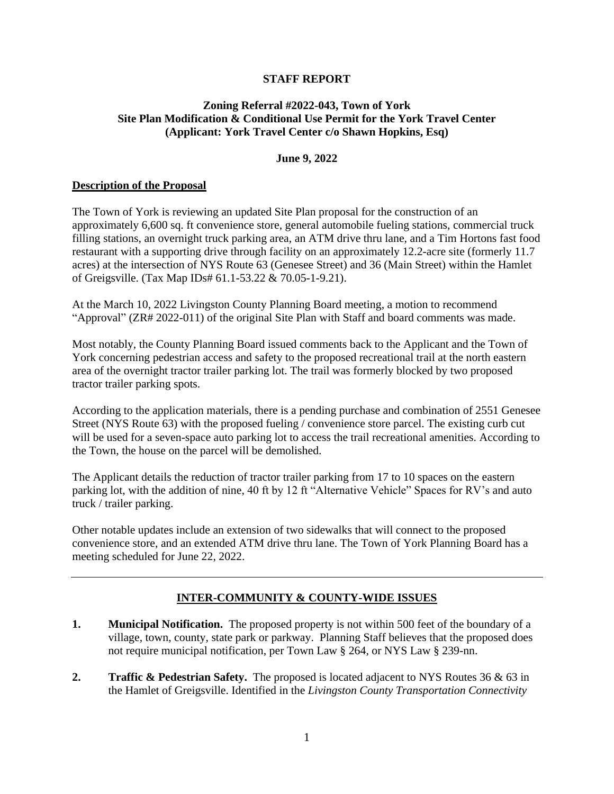## **STAFF REPORT**

# **Zoning Referral #2022-043, Town of York Site Plan Modification & Conditional Use Permit for the York Travel Center (Applicant: York Travel Center c/o Shawn Hopkins, Esq)**

#### **June 9, 2022**

## **Description of the Proposal**

The Town of York is reviewing an updated Site Plan proposal for the construction of an approximately 6,600 sq. ft convenience store, general automobile fueling stations, commercial truck filling stations, an overnight truck parking area, an ATM drive thru lane, and a Tim Hortons fast food restaurant with a supporting drive through facility on an approximately 12.2-acre site (formerly 11.7 acres) at the intersection of NYS Route 63 (Genesee Street) and 36 (Main Street) within the Hamlet of Greigsville. (Tax Map IDs# 61.1-53.22 & 70.05-1-9.21).

At the March 10, 2022 Livingston County Planning Board meeting, a motion to recommend "Approval" (ZR# 2022-011) of the original Site Plan with Staff and board comments was made.

Most notably, the County Planning Board issued comments back to the Applicant and the Town of York concerning pedestrian access and safety to the proposed recreational trail at the north eastern area of the overnight tractor trailer parking lot. The trail was formerly blocked by two proposed tractor trailer parking spots.

According to the application materials, there is a pending purchase and combination of 2551 Genesee Street (NYS Route 63) with the proposed fueling / convenience store parcel. The existing curb cut will be used for a seven-space auto parking lot to access the trail recreational amenities. According to the Town, the house on the parcel will be demolished.

The Applicant details the reduction of tractor trailer parking from 17 to 10 spaces on the eastern parking lot, with the addition of nine, 40 ft by 12 ft "Alternative Vehicle" Spaces for RV's and auto truck / trailer parking.

Other notable updates include an extension of two sidewalks that will connect to the proposed convenience store, and an extended ATM drive thru lane. The Town of York Planning Board has a meeting scheduled for June 22, 2022.

# **INTER-COMMUNITY & COUNTY-WIDE ISSUES**

- **1. Municipal Notification.** The proposed property is not within 500 feet of the boundary of a village, town, county, state park or parkway. Planning Staff believes that the proposed does not require municipal notification, per Town Law § 264, or NYS Law § 239-nn.
- **2. Traffic & Pedestrian Safety.** The proposed is located adjacent to NYS Routes 36 & 63 in the Hamlet of Greigsville. Identified in the *Livingston County Transportation Connectivity*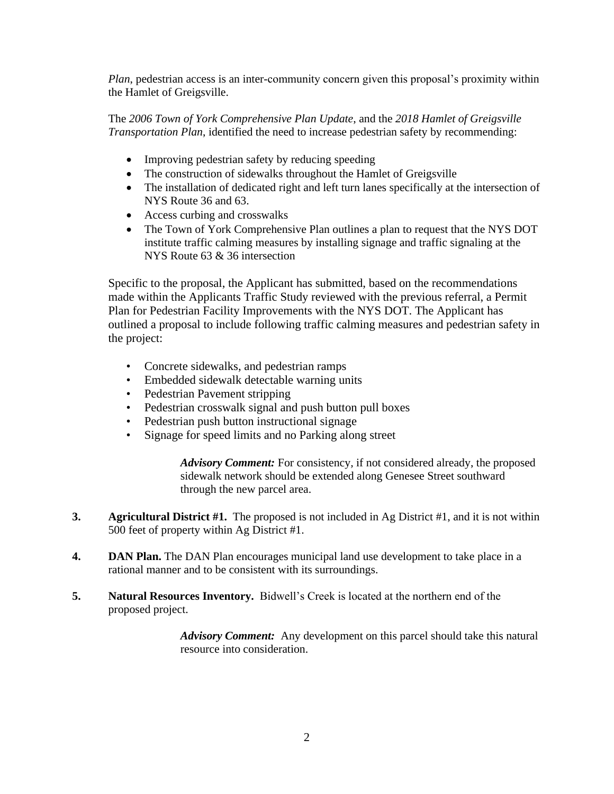*Plan*, pedestrian access is an inter-community concern given this proposal's proximity within the Hamlet of Greigsville.

The *2006 Town of York Comprehensive Plan Update*, and the *2018 Hamlet of Greigsville Transportation Plan*, identified the need to increase pedestrian safety by recommending:

- Improving pedestrian safety by reducing speeding
- The construction of sidewalks throughout the Hamlet of Greigsville
- The installation of dedicated right and left turn lanes specifically at the intersection of NYS Route 36 and 63.
- Access curbing and crosswalks
- The Town of York Comprehensive Plan outlines a plan to request that the NYS DOT institute traffic calming measures by installing signage and traffic signaling at the NYS Route 63 & 36 intersection

Specific to the proposal, the Applicant has submitted, based on the recommendations made within the Applicants Traffic Study reviewed with the previous referral, a Permit Plan for Pedestrian Facility Improvements with the NYS DOT. The Applicant has outlined a proposal to include following traffic calming measures and pedestrian safety in the project:

- Concrete sidewalks, and pedestrian ramps
- Embedded sidewalk detectable warning units
- Pedestrian Pavement stripping
- Pedestrian crosswalk signal and push button pull boxes
- Pedestrian push button instructional signage
- Signage for speed limits and no Parking along street

*Advisory Comment:* For consistency*,* if not considered already, the proposed sidewalk network should be extended along Genesee Street southward through the new parcel area.

- **3. Agricultural District #1.** The proposed is not included in Ag District #1, and it is not within 500 feet of property within Ag District #1.
- **4. DAN Plan.** The DAN Plan encourages municipal land use development to take place in a rational manner and to be consistent with its surroundings.
- **5. Natural Resources Inventory.** Bidwell's Creek is located at the northern end of the proposed project.

*Advisory Comment:* Any development on this parcel should take this natural resource into consideration.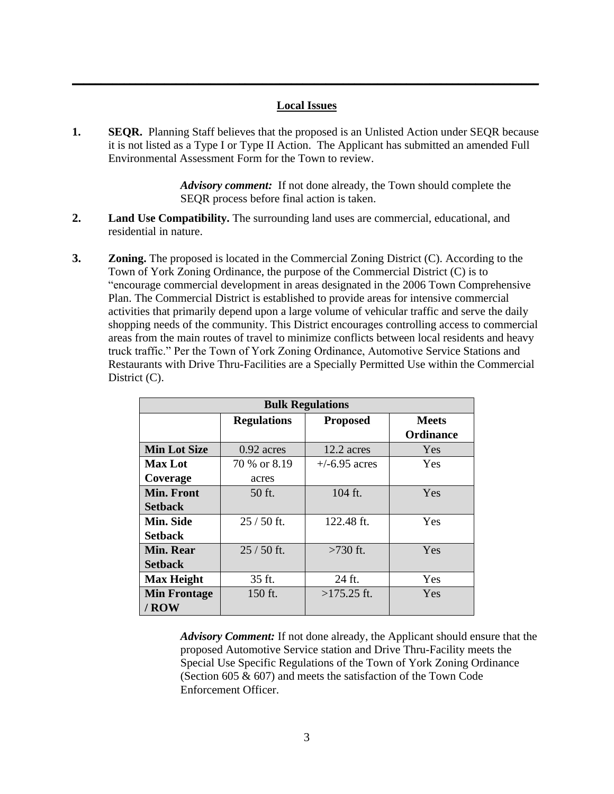### **Local Issues**

**\_\_\_\_\_\_\_\_\_\_\_\_\_\_\_\_\_\_\_\_\_\_\_\_\_\_\_\_\_\_\_\_\_\_\_\_\_\_\_\_\_\_\_\_\_\_\_\_\_\_\_\_\_\_\_\_\_\_\_\_\_\_\_\_\_\_\_\_\_\_\_\_\_\_\_\_\_\_\_\_\_**

**1. SEQR.** Planning Staff believes that the proposed is an Unlisted Action under SEQR because it is not listed as a Type I or Type II Action. The Applicant has submitted an amended Full Environmental Assessment Form for the Town to review.

> *Advisory comment:* If not done already, the Town should complete the SEQR process before final action is taken.

- **2. Land Use Compatibility.** The surrounding land uses are commercial, educational, and residential in nature.
- **3. Zoning.** The proposed is located in the Commercial Zoning District (C). According to the Town of York Zoning Ordinance, the purpose of the Commercial District (C) is to "encourage commercial development in areas designated in the 2006 Town Comprehensive Plan. The Commercial District is established to provide areas for intensive commercial activities that primarily depend upon a large volume of vehicular traffic and serve the daily shopping needs of the community. This District encourages controlling access to commercial areas from the main routes of travel to minimize conflicts between local residents and heavy truck traffic." Per the Town of York Zoning Ordinance, Automotive Service Stations and Restaurants with Drive Thru-Facilities are a Specially Permitted Use within the Commercial District (C).

| <b>Bulk Regulations</b> |                    |                 |                                  |
|-------------------------|--------------------|-----------------|----------------------------------|
|                         | <b>Regulations</b> | <b>Proposed</b> | <b>Meets</b><br><b>Ordinance</b> |
| <b>Min Lot Size</b>     | $0.92$ acres       | 12.2 acres      | <b>Yes</b>                       |
| <b>Max Lot</b>          | 70 % or 8.19       | $+/-6.95$ acres | Yes                              |
| Coverage                | acres              |                 |                                  |
| <b>Min. Front</b>       | 50 ft.             | 104 ft.         | Yes                              |
| <b>Setback</b>          |                    |                 |                                  |
| Min. Side               | $25/50$ ft.        | 122.48 ft.      | Yes                              |
| <b>Setback</b>          |                    |                 |                                  |
| <b>Min. Rear</b>        | $25/50$ ft.        | $>730$ ft.      | Yes                              |
| <b>Setback</b>          |                    |                 |                                  |
| <b>Max Height</b>       | 35 ft.             | 24 ft.          | Yes                              |
| <b>Min Frontage</b>     | 150 ft.            | $>175.25$ ft.   | Yes                              |
| $/$ ROW                 |                    |                 |                                  |

*Advisory Comment:* If not done already, the Applicant should ensure that the proposed Automotive Service station and Drive Thru-Facility meets the Special Use Specific Regulations of the Town of York Zoning Ordinance (Section 605 & 607) and meets the satisfaction of the Town Code Enforcement Officer.